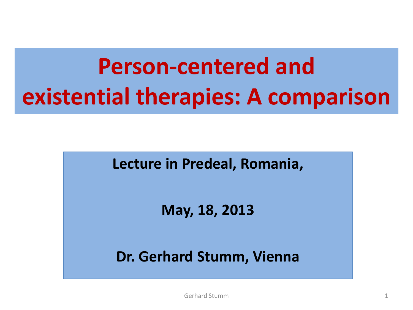# **Person-centered and existential therapies: A comparison**

**Lecture in Predeal, Romania,**

**May, 18, 2013**

**Dr. Gerhard Stumm, Vienna**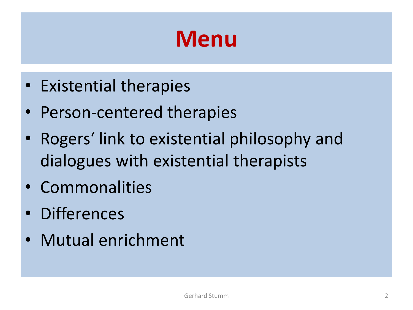#### **Menu**

- Existential therapies
- Person-centered therapies
- Rogers' link to existential philosophy and dialogues with existential therapists
- Commonalities
- Differences
- Mutual enrichment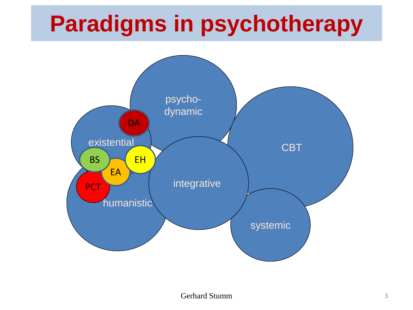### **Paradigms in psychotherapy**

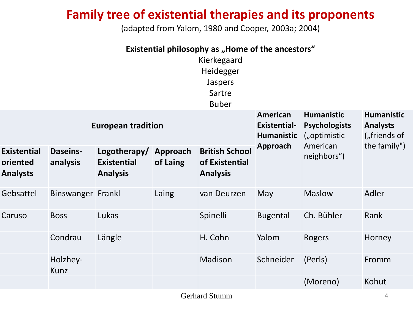#### **Family tree of existential therapies and its proponents**

(adapted from Yalom, 1980 and Cooper, 2003a; 2004)

| Existential philosophy as "Home of the ancestors"<br>Kierkegaard<br>Heidegger<br>Jaspers<br>Sartre<br><b>Buber</b> |                             |                                                       |                      |                                                            |                                                             |                                                              |                                                      |  |
|--------------------------------------------------------------------------------------------------------------------|-----------------------------|-------------------------------------------------------|----------------------|------------------------------------------------------------|-------------------------------------------------------------|--------------------------------------------------------------|------------------------------------------------------|--|
| <b>European tradition</b>                                                                                          |                             |                                                       |                      |                                                            | <b>American</b><br><b>Existential-</b><br><b>Humanistic</b> | <b>Humanistic</b><br><b>Psychologists</b><br>$($ "optimistic | <b>Humanistic</b><br><b>Analysts</b><br>("friends of |  |
| <b>Existential</b><br>oriented<br><b>Analysts</b>                                                                  | <b>Daseins-</b><br>analysis | Logotherapy/<br><b>Existential</b><br><b>Analysis</b> | Approach<br>of Laing | <b>British School</b><br>of Existential<br><b>Analysis</b> | Approach                                                    | American<br>neighbors")                                      | the family")                                         |  |
| Gebsattel                                                                                                          | Binswanger Frankl           |                                                       | Laing                | van Deurzen                                                | May                                                         | <b>Maslow</b>                                                | Adler                                                |  |
| Caruso                                                                                                             | <b>Boss</b>                 | Lukas                                                 |                      | Spinelli                                                   | <b>Bugental</b>                                             | Ch. Bühler                                                   | Rank                                                 |  |
|                                                                                                                    | Condrau                     | Längle                                                |                      | H. Cohn                                                    | Yalom                                                       | Rogers                                                       | Horney                                               |  |
|                                                                                                                    | Holzhey-<br>Kunz            |                                                       |                      | Madison                                                    | Schneider                                                   | (Perls)                                                      | Fromm                                                |  |
|                                                                                                                    |                             |                                                       |                      |                                                            |                                                             | (Moreno)                                                     | Kohut                                                |  |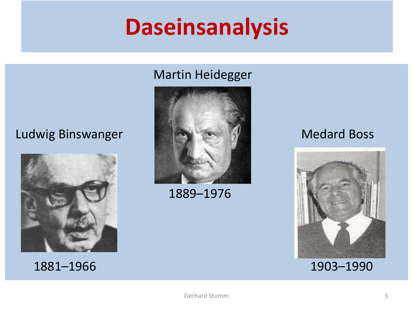#### **Daseinsanalysis**

#### Martin Heidegger

#### Ludwig Binswanger Medard Boss







1889–1976

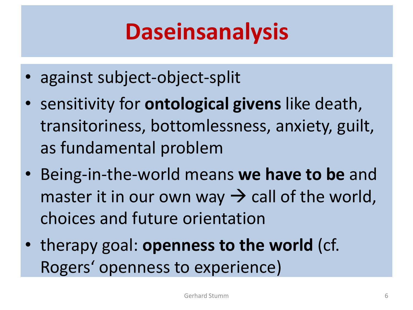### **Daseinsanalysis**

- against subject-object-split
- sensitivity for **ontological givens** like death, transitoriness, bottomlessness, anxiety, guilt, as fundamental problem
- Being-in-the-world means **we have to be** and master it in our own way  $\rightarrow$  call of the world, choices and future orientation
- therapy goal: **openness to the world** (cf. Rogers' openness to experience)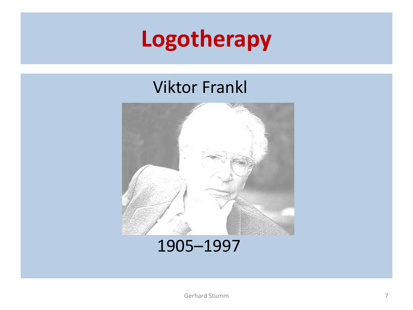#### **Logotherapy**

#### Viktor Frankl



#### 1905–1997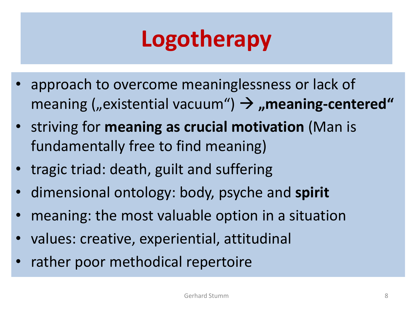### **Logotherapy**

- approach to overcome meaninglessness or lack of meaning (*"existential vacuum"*)  $\rightarrow$  *"meaning-centered"*
- striving for **meaning as crucial motivation** (Man is fundamentally free to find meaning)
- tragic triad: death, guilt and suffering
- dimensional ontology: body, psyche and **spirit**
- meaning: the most valuable option in a situation
- values: creative, experiential, attitudinal
- rather poor methodical repertoire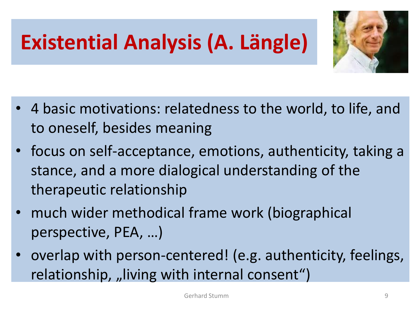#### **Existential Analysis (A. Längle)**



- 4 basic motivations: relatedness to the world, to life, and to oneself, besides meaning
- focus on self-acceptance, emotions, authenticity, taking a stance, and a more dialogical understanding of the therapeutic relationship
- much wider methodical frame work (biographical perspective, PEA, …)
- overlap with person-centered! (e.g. authenticity, feelings, relationship, "living with internal consent")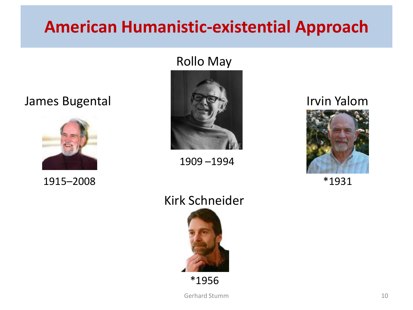#### **American Humanistic-existential Approach**

#### Rollo May





1915–2008 \*1931



1909 –1994



#### Kirk Schneider



\*1956

Gerhard Stumm 10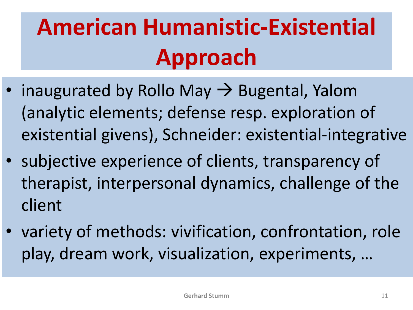# **American Humanistic-Existential Approach**

- inaugurated by Rollo May  $\rightarrow$  Bugental, Yalom (analytic elements; defense resp. exploration of existential givens), Schneider: existential-integrative
- subjective experience of clients, transparency of therapist, interpersonal dynamics, challenge of the client
- variety of methods: vivification, confrontation, role play, dream work, visualization, experiments, …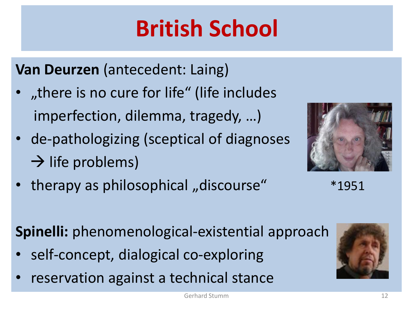# **British School**

**Van Deurzen** (antecedent: Laing)

- there is no cure for life" (life includes imperfection, dilemma, tragedy, …)
- de-pathologizing (sceptical of diagnoses  $\rightarrow$  life problems)
- therapy as philosophical "discourse"  $*1951$



**Spinelli:** phenomenological-existential approach

- self-concept, dialogical co-exploring
- reservation against a technical stance

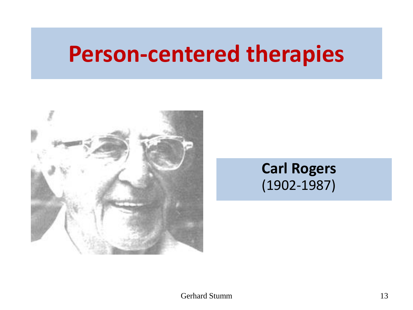#### **Person-centered therapies**



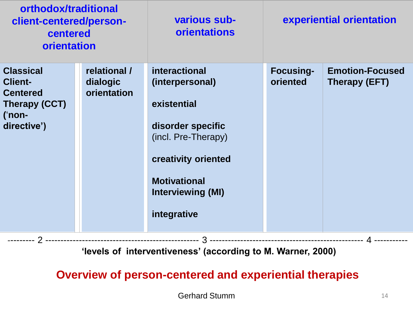| orthodox/traditional<br>client-centered/person-<br>centered<br>orientation                         |                                         | various sub-<br><b>orientations</b>                                                                                                                                                  | experiential orientation     |                                         |  |  |  |  |  |
|----------------------------------------------------------------------------------------------------|-----------------------------------------|--------------------------------------------------------------------------------------------------------------------------------------------------------------------------------------|------------------------------|-----------------------------------------|--|--|--|--|--|
| <b>Classical</b><br><b>Client-</b><br><b>Centered</b><br>Therapy (CCT)<br>$($ 'non-<br>directive') | relational /<br>dialogic<br>orientation | interactional<br>(interpersonal)<br>existential<br>disorder specific<br>(incl. Pre-Therapy)<br>creativity oriented<br><b>Motivational</b><br><b>Interviewing (MI)</b><br>integrative | <b>Focusing-</b><br>oriented | <b>Emotion-Focused</b><br>Therapy (EFT) |  |  |  |  |  |
| 'levels of interventiveness' (according to M. Warner, 2000)                                        |                                         |                                                                                                                                                                                      |                              |                                         |  |  |  |  |  |

#### **Overview of person-centered and experiential therapies**

Gerhard Stumm 14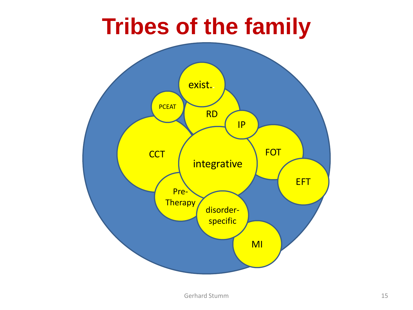#### **Tribes of the family**

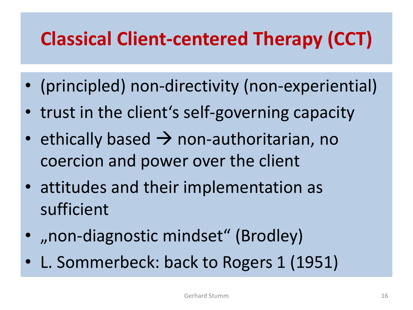#### **Classical Client-centered Therapy (CCT)**

- (principled) non-directivity (non-experiential)
- trust in the client's self-governing capacity
- ethically based  $\rightarrow$  non-authoritarian, no coercion and power over the client
- attitudes and their implementation as sufficient
- "non-diagnostic mindset" (Brodley)
- L. Sommerbeck: back to Rogers 1 (1951)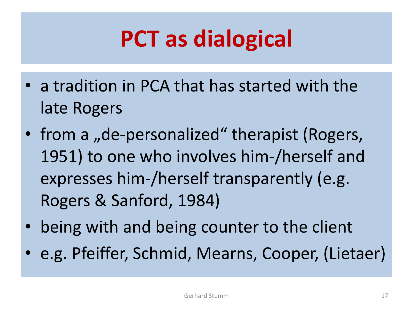### **PCT as dialogical**

- a tradition in PCA that has started with the late Rogers
- from a "de-personalized" therapist (Rogers, 1951) to one who involves him-/herself and expresses him-/herself transparently (e.g. Rogers & Sanford, 1984)
- being with and being counter to the client
- e.g. Pfeiffer, Schmid, Mearns, Cooper, (Lietaer)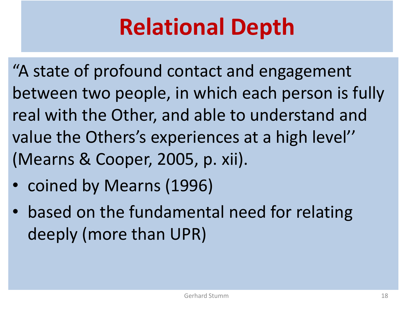# **Relational Depth**

"A state of profound contact and engagement between two people, in which each person is fully real with the Other, and able to understand and value the Others's experiences at a high level'' (Mearns & Cooper, 2005, p. xii).

- coined by Mearns (1996)
- based on the fundamental need for relating deeply (more than UPR)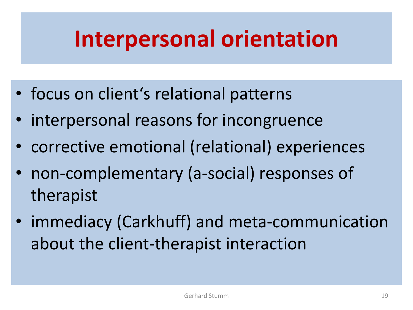#### **Interpersonal orientation**

- focus on client's relational patterns
- interpersonal reasons for incongruence
- corrective emotional (relational) experiences
- non-complementary (a-social) responses of therapist
- immediacy (Carkhuff) and meta-communication about the client-therapist interaction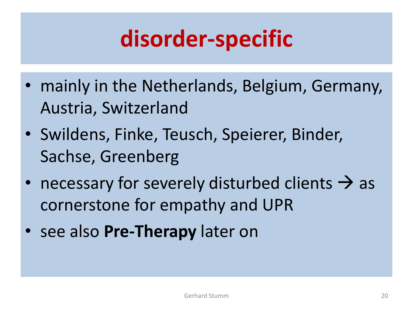#### **disorder-specific**

- mainly in the Netherlands, Belgium, Germany, Austria, Switzerland
- Swildens, Finke, Teusch, Speierer, Binder, Sachse, Greenberg
- necessary for severely disturbed clients  $\rightarrow$  as cornerstone for empathy and UPR
- see also **Pre-Therapy** later on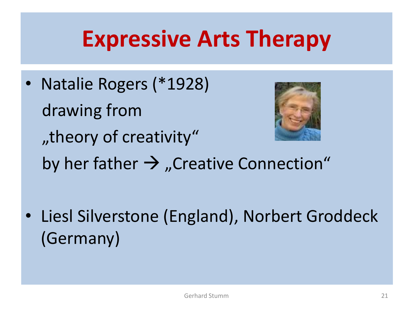#### **Expressive Arts Therapy**

• Natalie Rogers (\*1928) drawing from "theory of creativity" by her father  $\rightarrow$  "Creative Connection"

• Liesl Silverstone (England), Norbert Groddeck (Germany)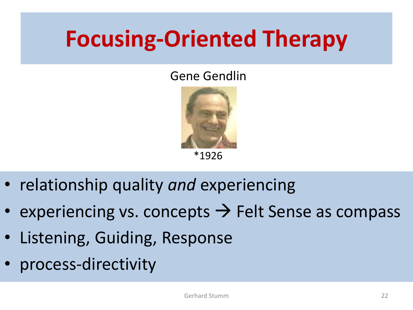### **Focusing-Oriented Therapy**

#### Gene Gendlin



• relationship quality *and* experiencing

- experiencing vs. concepts  $\rightarrow$  Felt Sense as compass
- Listening, Guiding, Response
- process-directivity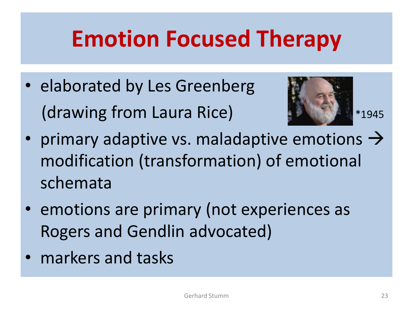#### **Emotion Focused Therapy**

• elaborated by Les Greenberg (drawing from Laura Rice) **1994** \*1945



- primary adaptive vs. maladaptive emotions  $\rightarrow$ modification (transformation) of emotional schemata
- emotions are primary (not experiences as Rogers and Gendlin advocated)
- markers and tasks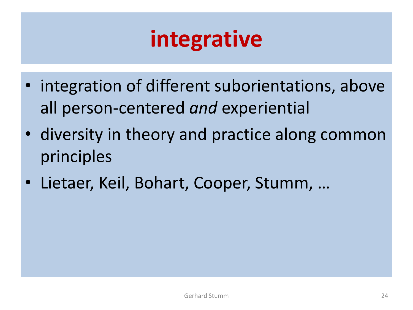### **integrative**

- integration of different suborientations, above all person-centered *and* experiential
- diversity in theory and practice along common principles
- Lietaer, Keil, Bohart, Cooper, Stumm, …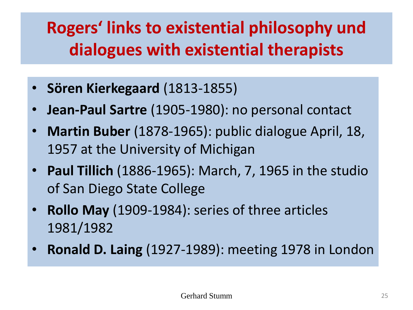#### **Rogers' links to existential philosophy und dialogues with existential therapists**

- **Sören Kierkegaard** (1813-1855)
- **Jean-Paul Sartre** (1905-1980): no personal contact
- **Martin Buber** (1878-1965): public dialogue April, 18, 1957 at the University of Michigan
- **Paul Tillich** (1886-1965): March, 7, 1965 in the studio of San Diego State College
- **Rollo May** (1909-1984): series of three articles 1981/1982
- **Ronald D. Laing** (1927-1989): meeting 1978 in London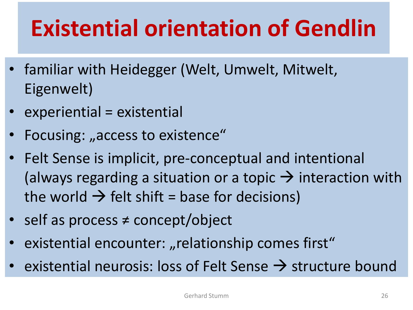# **Existential orientation of Gendlin**

- familiar with Heidegger (Welt, Umwelt, Mitwelt, Eigenwelt)
- experiential = existential
- Focusing: "access to existence"
- Felt Sense is implicit, pre-conceptual and intentional (always regarding a situation or a topic  $\rightarrow$  interaction with the world  $\rightarrow$  felt shift = base for decisions)
- self as process ≠ concept/object
- existential encounter: "relationship comes first"
- existential neurosis: loss of Felt Sense  $\rightarrow$  structure bound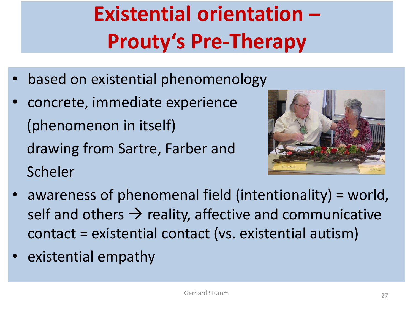### **Existential orientation – Prouty's Pre-Therapy**

- based on existential phenomenology
- concrete, immediate experience (phenomenon in itself) drawing from Sartre, Farber and Scheler



- awareness of phenomenal field (intentionality) = world, self and others  $\rightarrow$  reality, affective and communicative contact = existential contact (vs. existential autism)
- existential empathy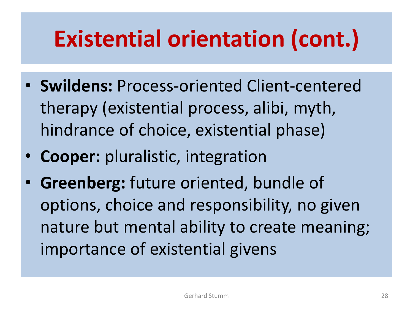### **Existential orientation (cont.)**

- **Swildens:** Process-oriented Client-centered therapy (existential process, alibi, myth, hindrance of choice, existential phase)
- **Cooper:** pluralistic, integration
- **Greenberg:** future oriented, bundle of options, choice and responsibility, no given nature but mental ability to create meaning; importance of existential givens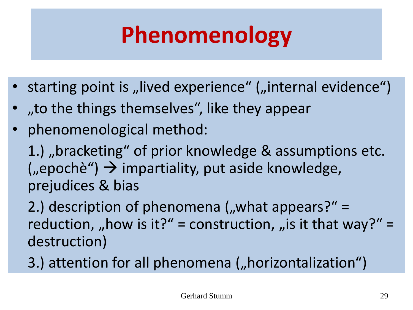# **Phenomenology**

- starting point is "lived experience" ("internal evidence")
- "to the things themselves", like they appear,
- phenomenological method:

1.), bracketing" of prior knowledge & assumptions etc.  $($ "epochè")  $\rightarrow$  impartiality, put aside knowledge, prejudices & bias

2.) description of phenomena  $\mu$ , what appears?" = reduction, "how is it?" = construction, "is it that way?" = destruction)

3.) attention for all phenomena ("horizontalization")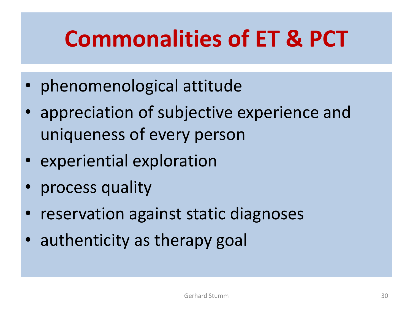### **Commonalities of ET & PCT**

- phenomenological attitude
- appreciation of subjective experience and uniqueness of every person
- experiential exploration
- process quality
- reservation against static diagnoses
- authenticity as therapy goal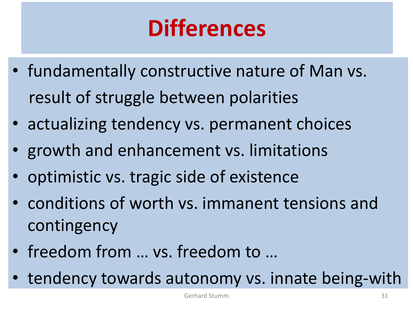# **Differences**

- fundamentally constructive nature of Man vs. result of struggle between polarities
- actualizing tendency vs. permanent choices
- growth and enhancement vs. limitations
- optimistic vs. tragic side of existence
- conditions of worth vs. immanent tensions and contingency
- freedom from … vs. freedom to …
- tendency towards autonomy vs. innate being-with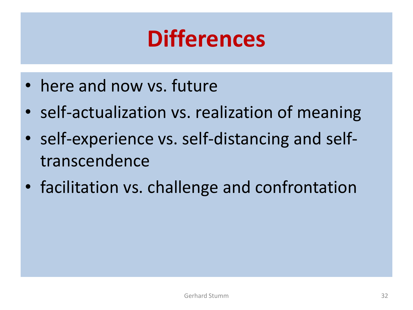#### **Differences**

- here and now vs. future
- self-actualization vs. realization of meaning
- self-experience vs. self-distancing and selftranscendence
- facilitation vs. challenge and confrontation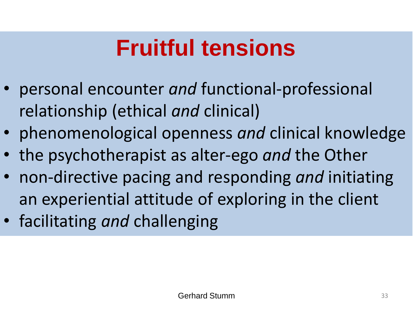### **Fruitful tensions**

- personal encounter *and* functional-professional relationship (ethical *and* clinical)
- phenomenological openness *and* clinical knowledge
- the psychotherapist as alter-ego *and* the Other
- non-directive pacing and responding *and* initiating an experiential attitude of exploring in the client
- facilitating *and* challenging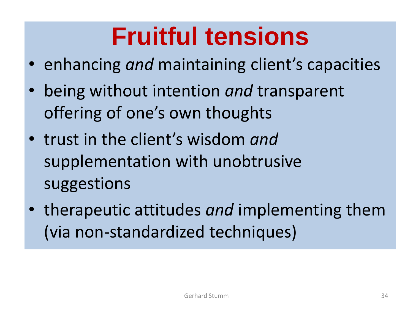### **Fruitful tensions**

- enhancing *and* maintaining client's capacities
- being without intention *and* transparent offering of one's own thoughts
- trust in the client's wisdom *and* supplementation with unobtrusive suggestions
- therapeutic attitudes *and* implementing them (via non-standardized techniques)